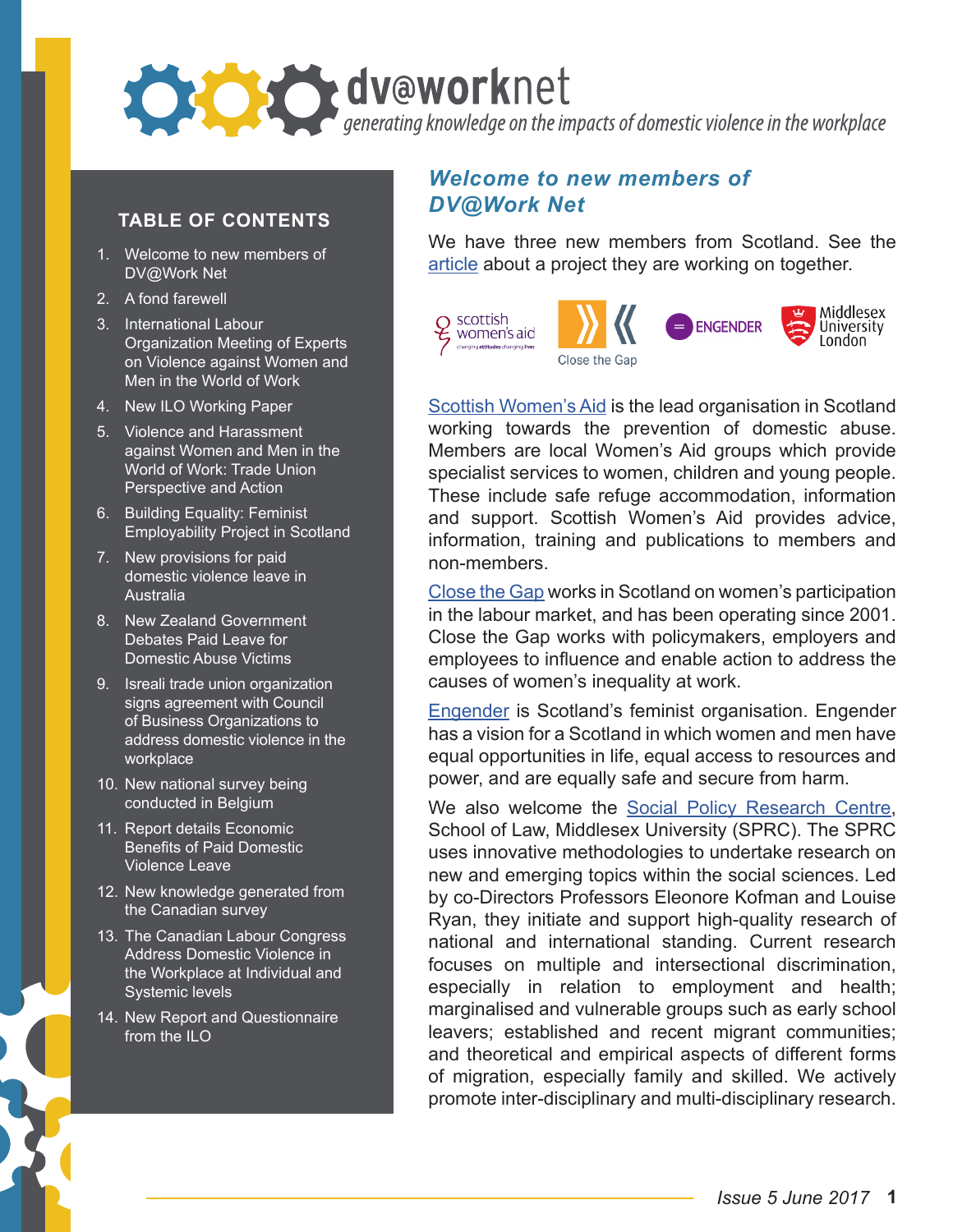

#### **TABLE OF CONTENTS**

- 1. Welcome to new members of DV@Work Net
- 2. A fond farewell
- 3. International Labour Organization Meeting of Experts on Violence against Women and Men in the World of Work
- 4. New ILO Working Paper
- 5. Violence and Harassment against Women and Men in the World of Work: Trade Union Perspective and Action
- 6. Building Equality: Feminist Employability Project in Scotland
- 7. New provisions for paid domestic violence leave in **Australia**
- 8. New Zealand Government Debates Paid Leave for Domestic Abuse Victims
- 9. Isreali trade union organization signs agreement with Council of Business Organizations to address domestic violence in the workplace
- 10. New national survey being conducted in Belgium
- 11. Report details Economic Benefits of Paid Domestic Violence Leave
- 12. New knowledge generated from the Canadian survey
- 13. The Canadian Labour Congress Address Domestic Violence in the Workplace at Individual and Systemic levels
- 14. New Report and Questionnaire from the ILO

## *Welcome to new members of DV@Work Net*

We have three new members from Scotland. See the [article](#page-3-0) about a project they are working on together.



[Scottish Women's Aid](http://www.scottishwomensaid.org.uk/) is the lead organisation in Scotland working towards the prevention of domestic abuse. Members are local Women's Aid groups which provide specialist services to women, children and young people. These include safe refuge accommodation, information and support. Scottish Women's Aid provides advice, information, training and publications to members and non-members.

[Close the Gap](https://www.closethegap.org.uk/) works in Scotland on women's participation in the labour market, and has been operating since 2001. Close the Gap works with policymakers, employers and employees to influence and enable action to address the causes of women's inequality at work.

[Engender](https://www.engender.org.uk/) is Scotland's feminist organisation. Engender has a vision for a Scotland in which women and men have equal opportunities in life, equal access to resources and power, and are equally safe and secure from harm.

We also welcome the [Social Policy Research Centre,](http://www.mdx.ac.uk/our-research/centres/social-policy-research-centre) School of Law, Middlesex University (SPRC). The SPRC uses innovative methodologies to undertake research on new and emerging topics within the social sciences. Led by co-Directors Professors Eleonore Kofman and Louise Ryan, they initiate and support high-quality research of national and international standing. Current research focuses on multiple and intersectional discrimination, especially in relation to employment and health; marginalised and vulnerable groups such as early school leavers; established and recent migrant communities; and theoretical and empirical aspects of different forms of migration, especially family and skilled. We actively promote inter-disciplinary and multi-disciplinary research.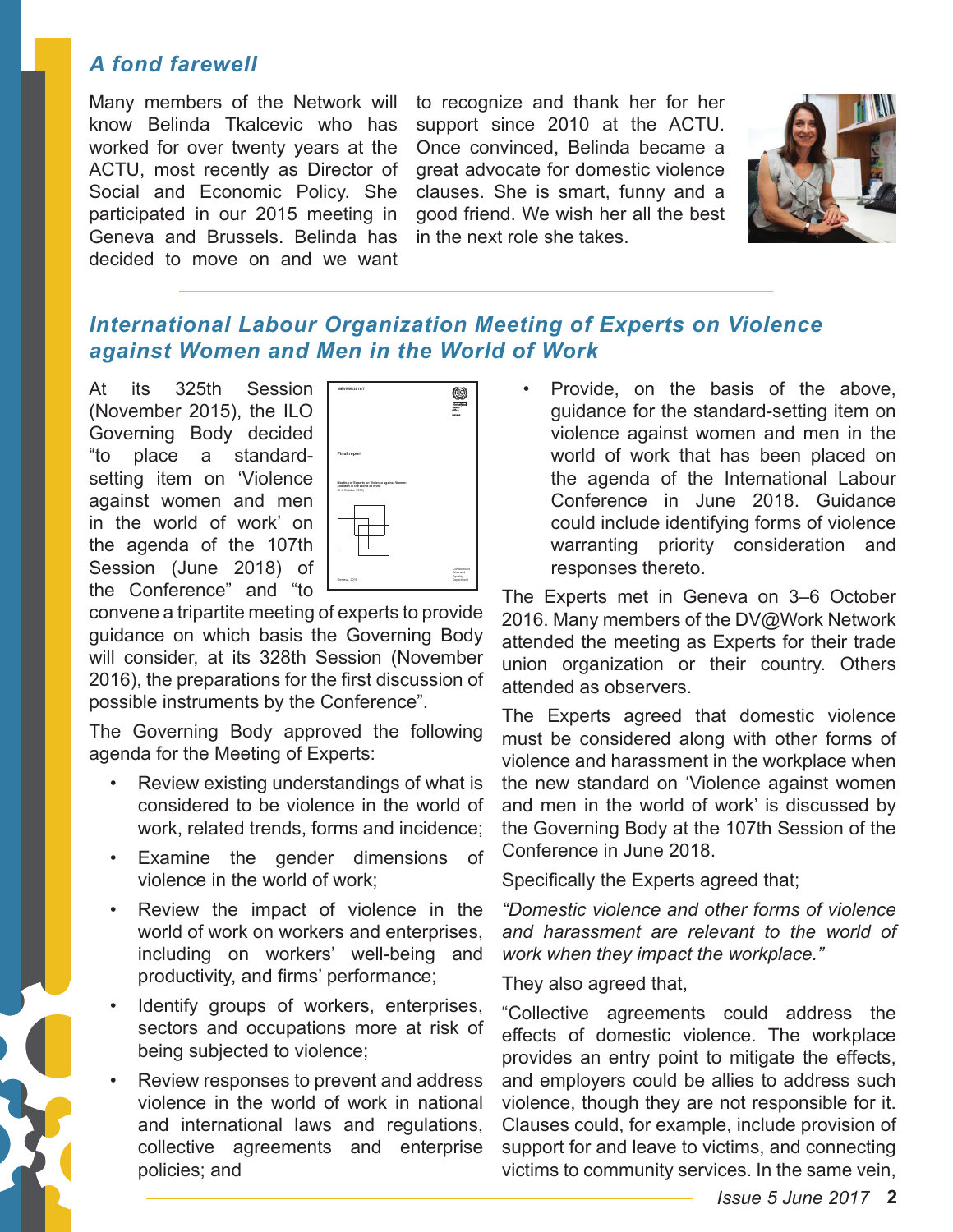## *A fond farewell*

Many members of the Network will know Belinda Tkalcevic who has worked for over twenty years at the ACTU, most recently as Director of Social and Economic Policy. She participated in our 2015 meeting in Geneva and Brussels. Belinda has decided to move on and we want

to recognize and thank her for her support since 2010 at the ACTU. Once convinced, Belinda became a great advocate for domestic violence clauses. She is smart, funny and a good friend. We wish her all the best in the next role she takes.



## *International Labour Organization Meeting of Experts on Violence against Women and Men in the World of Work*

At its 325th Session (November 2015), the ILO Governing Body decided "to place a standardsetting item on 'Violence against women and men in the world of work' on the agenda of the 107th Session (June 2018) of the Conference" and "to



convene a tripartite meeting of experts to provide guidance on which basis the Governing Body will consider, at its 328th Session (November 2016), the preparations for the first discussion of possible instruments by the Conference".

The Governing Body approved the following agenda for the Meeting of Experts:

- Review existing understandings of what is considered to be violence in the world of work, related trends, forms and incidence;
- Examine the gender dimensions of violence in the world of work;
- Review the impact of violence in the world of work on workers and enterprises, including on workers' well-being and productivity, and firms' performance;
- Identify groups of workers, enterprises, sectors and occupations more at risk of being subjected to violence;
- Review responses to prevent and address violence in the world of work in national and international laws and regulations, collective agreements and enterprise policies; and

• Provide, on the basis of the above, guidance for the standard-setting item on violence against women and men in the world of work that has been placed on the agenda of the International Labour Conference in June 2018. Guidance could include identifying forms of violence warranting priority consideration and responses thereto.

The Experts met in Geneva on 3–6 October 2016. Many members of the DV@Work Network attended the meeting as Experts for their trade union organization or their country. Others attended as observers.

The Experts agreed that domestic violence must be considered along with other forms of violence and harassment in the workplace when the new standard on 'Violence against women and men in the world of work' is discussed by the Governing Body at the 107th Session of the Conference in June 2018.

Specifically the Experts agreed that;

*"Domestic violence and other forms of violence and harassment are relevant to the world of work when they impact the workplace."* 

They also agreed that,

"Collective agreements could address the effects of domestic violence. The workplace provides an entry point to mitigate the effects, and employers could be allies to address such violence, though they are not responsible for it. Clauses could, for example, include provision of support for and leave to victims, and connecting victims to community services. In the same vein,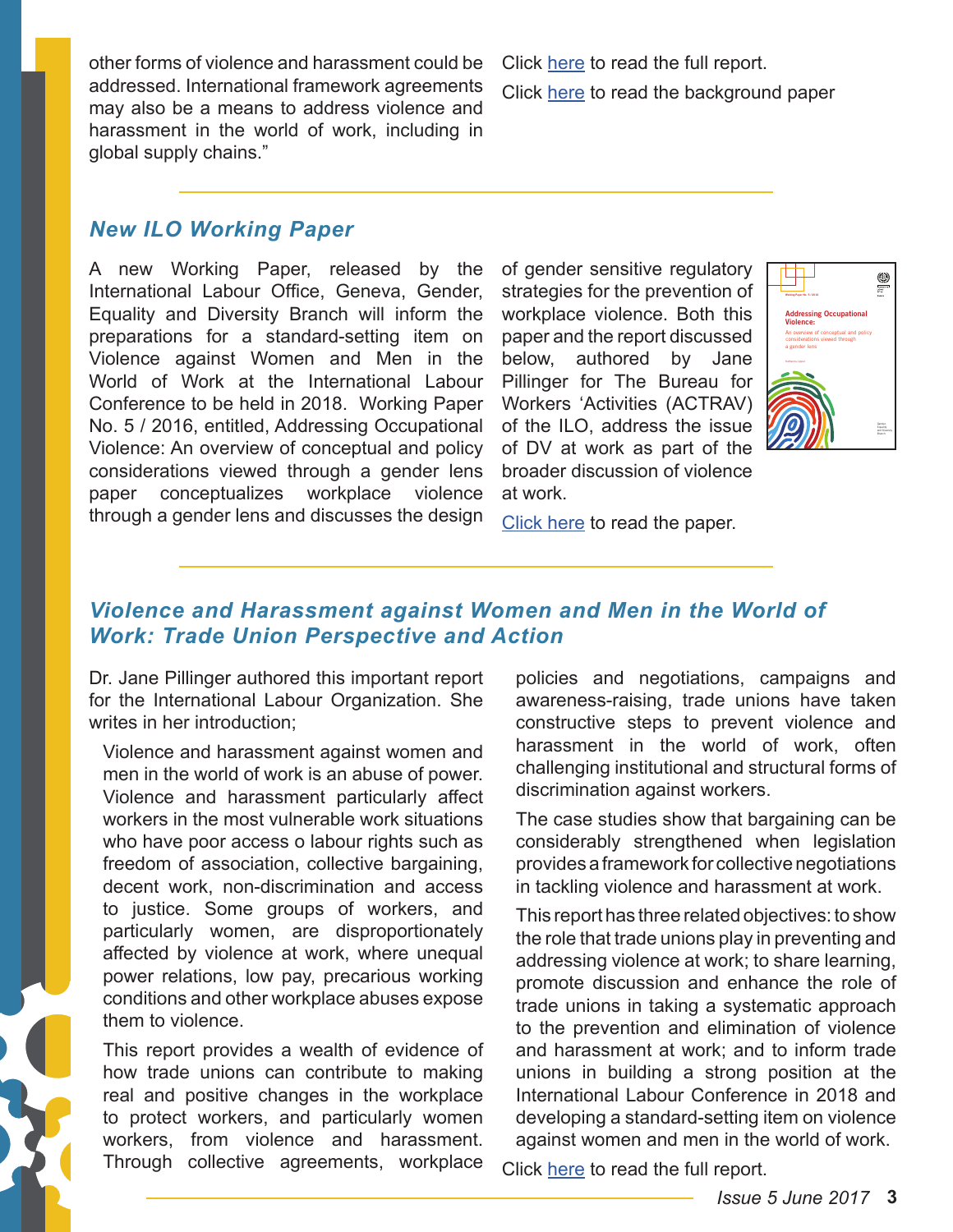other forms of violence and harassment could be addressed. International framework agreements may also be a means to address violence and harassment in the world of work, including in global supply chains."

Click [here](http://www.ilo.org/wcmsp5/groups/public/---dgreports/---gender/documents/meetingdocument/wcms_546303.pdf) to read the full report. Click [here](http://www.ilo.org/gender/Informationresources/Publications/WCMS_522932/lang--en/index.htm) to read the background paper

#### *New ILO Working Paper*

A new Working Paper, released by the International Labour Office, Geneva, Gender, Equality and Diversity Branch will inform the preparations for a standard-setting item on Violence against Women and Men in the World of Work at the International Labour Conference to be held in 2018. Working Paper No. 5 / 2016, entitled, Addressing Occupational Violence: An overview of conceptual and policy considerations viewed through a gender lens paper conceptualizes workplace violence through a gender lens and discusses the design

of gender sensitive regulatory strategies for the prevention of workplace violence. Both this paper and the report discussed below, authored by Jane Pillinger for The Bureau for Workers 'Activities (ACTRAV) of the ILO, address the issue of DV at work as part of the broader discussion of violence at work.



[Click here](http://www.ilo.org/gender/Informationresources/Publications/WCMS_535656/lang--en/index.htm) to read the paper.

## *Violence and Harassment against Women and Men in the World of Work: Trade Union Perspective and Action*

Dr. Jane Pillinger authored this important report for the International Labour Organization. She writes in her introduction;

Violence and harassment against women and men in the world of work is an abuse of power. Violence and harassment particularly affect workers in the most vulnerable work situations who have poor access o labour rights such as freedom of association, collective bargaining, decent work, non-discrimination and access to justice. Some groups of workers, and particularly women, are disproportionately affected by violence at work, where unequal power relations, low pay, precarious working conditions and other workplace abuses expose them to violence.

This report provides a wealth of evidence of how trade unions can contribute to making real and positive changes in the workplace to protect workers, and particularly women workers, from violence and harassment. Through collective agreements, workplace

policies and negotiations, campaigns and awareness-raising, trade unions have taken constructive steps to prevent violence and harassment in the world of work, often challenging institutional and structural forms of discrimination against workers.

The case studies show that bargaining can be considerably strengthened when legislation provides a framework for collective negotiations in tackling violence and harassment at work.

This report has three related objectives: to show the role that trade unions play in preventing and addressing violence at work; to share learning, promote discussion and enhance the role of trade unions in taking a systematic approach to the prevention and elimination of violence and harassment at work; and to inform trade unions in building a strong position at the International Labour Conference in 2018 and developing a standard-setting item on violence against women and men in the world of work.

Click [here](http://www.ilo.org/wcmsp5/groups/public/---ed_dialogue/---actrav/documents/publication/wcms_546645.pdf) to read the full report.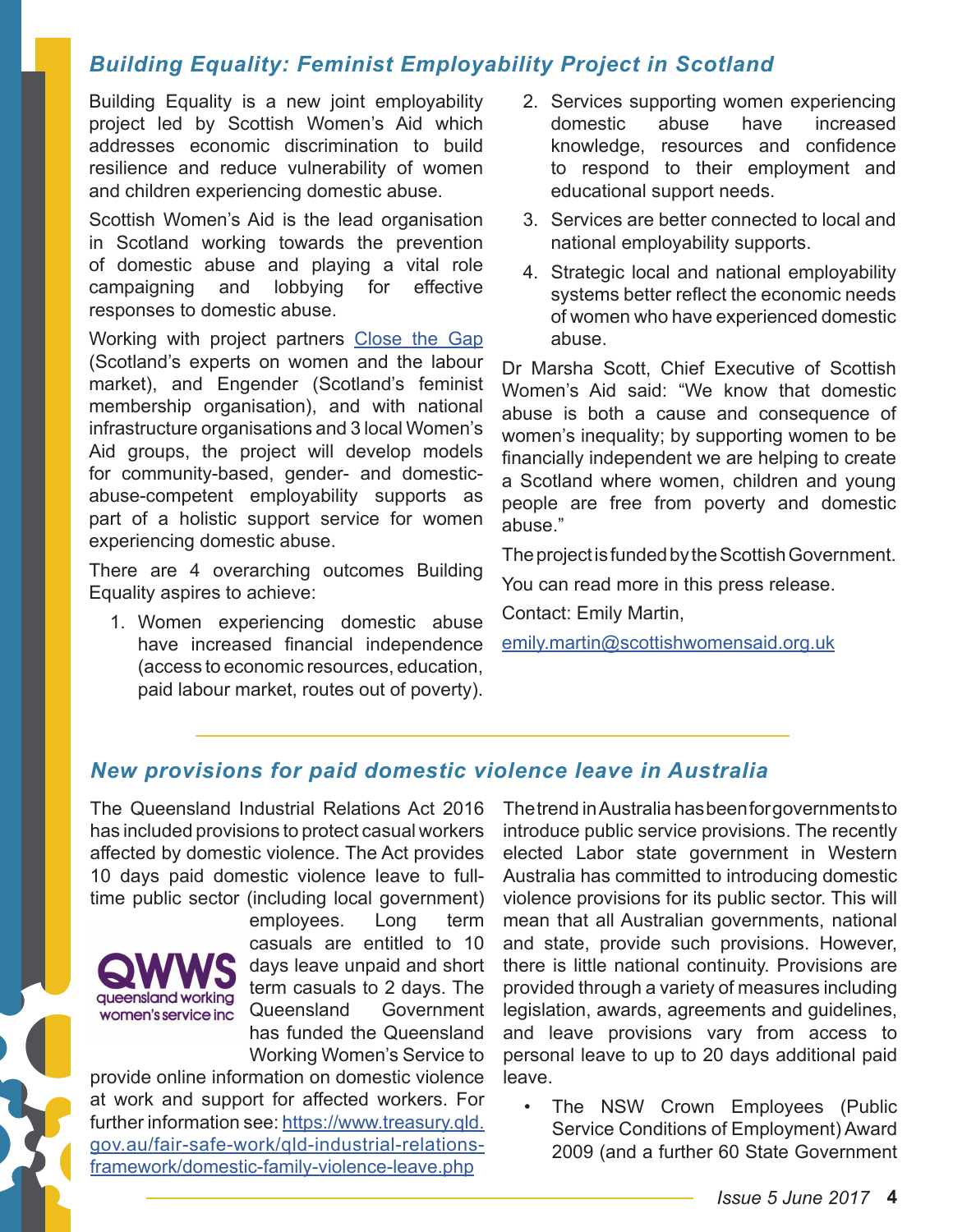## <span id="page-3-0"></span>*Building Equality: Feminist Employability Project in Scotland*

Building Equality is a new joint employability project led by Scottish Women's Aid which addresses economic discrimination to build resilience and reduce vulnerability of women and children experiencing domestic abuse.

Scottish Women's Aid is the lead organisation in Scotland working towards the prevention of domestic abuse and playing a vital role campaigning and lobbying for effective responses to domestic abuse.

Working with project partners [Close the Gap](https://www.closethegap.org.uk/)  (Scotland's experts on women and the labour market), and Engender (Scotland's feminist membership organisation), and with national infrastructure organisations and 3 local Women's Aid groups, the project will develop models for community-based, gender- and domesticabuse-competent employability supports as part of a holistic support service for women experiencing domestic abuse.

There are 4 overarching outcomes Building Equality aspires to achieve:

1. Women experiencing domestic abuse have increased financial independence (access to economic resources, education, paid labour market, routes out of poverty).

- 2. Services supporting women experiencing<br>domestic abuse have increased domestic abuse have increased knowledge, resources and confidence to respond to their employment and educational support needs.
- 3. Services are better connected to local and national employability supports.
- 4. Strategic local and national employability systems better reflect the economic needs of women who have experienced domestic abuse.

Dr Marsha Scott, Chief Executive of Scottish Women's Aid said: "We know that domestic abuse is both a cause and consequence of women's inequality; by supporting women to be financially independent we are helping to create a Scotland where women, children and young people are free from poverty and domestic abuse."

The project is funded by the Scottish Government.

You can read more in this press release.

Contact: Emily Martin,

[emily.martin@scottishwomensaid.org.uk](mailto:emily.martin%40scottishwomensaid.org.uk?subject=)

## *New provisions for paid domestic violence leave in Australia*

The Queensland Industrial Relations Act 2016 has included provisions to protect casual workers affected by domestic violence. The Act provides 10 days paid domestic violence leave to fulltime public sector (including local government)



employees. Long term casuals are entitled to 10 days leave unpaid and short term casuals to 2 days. The Queensland Government has funded the Queensland Working Women's Service to

provide online information on domestic violence at work and support for affected workers. For further information see: [https://www.treasury.qld.](https://www.treasury.qld.gov.au/fair-safe-work/qld-industrial-relations-framework/domestic-family-violence-leave.php) [gov.au/fair-safe-work/qld-industrial-relations](https://www.treasury.qld.gov.au/fair-safe-work/qld-industrial-relations-framework/domestic-family-violence-leave.php)[framework/domestic-family-violence-leave.php](https://www.treasury.qld.gov.au/fair-safe-work/qld-industrial-relations-framework/domestic-family-violence-leave.php)

The trend in Australia has been for governments to introduce public service provisions. The recently elected Labor state government in Western Australia has committed to introducing domestic violence provisions for its public sector. This will mean that all Australian governments, national and state, provide such provisions. However, there is little national continuity. Provisions are provided through a variety of measures including legislation, awards, agreements and guidelines, and leave provisions vary from access to personal leave to up to 20 days additional paid leave.

• The NSW Crown Employees (Public Service Conditions of Employment) Award 2009 (and a further 60 State Government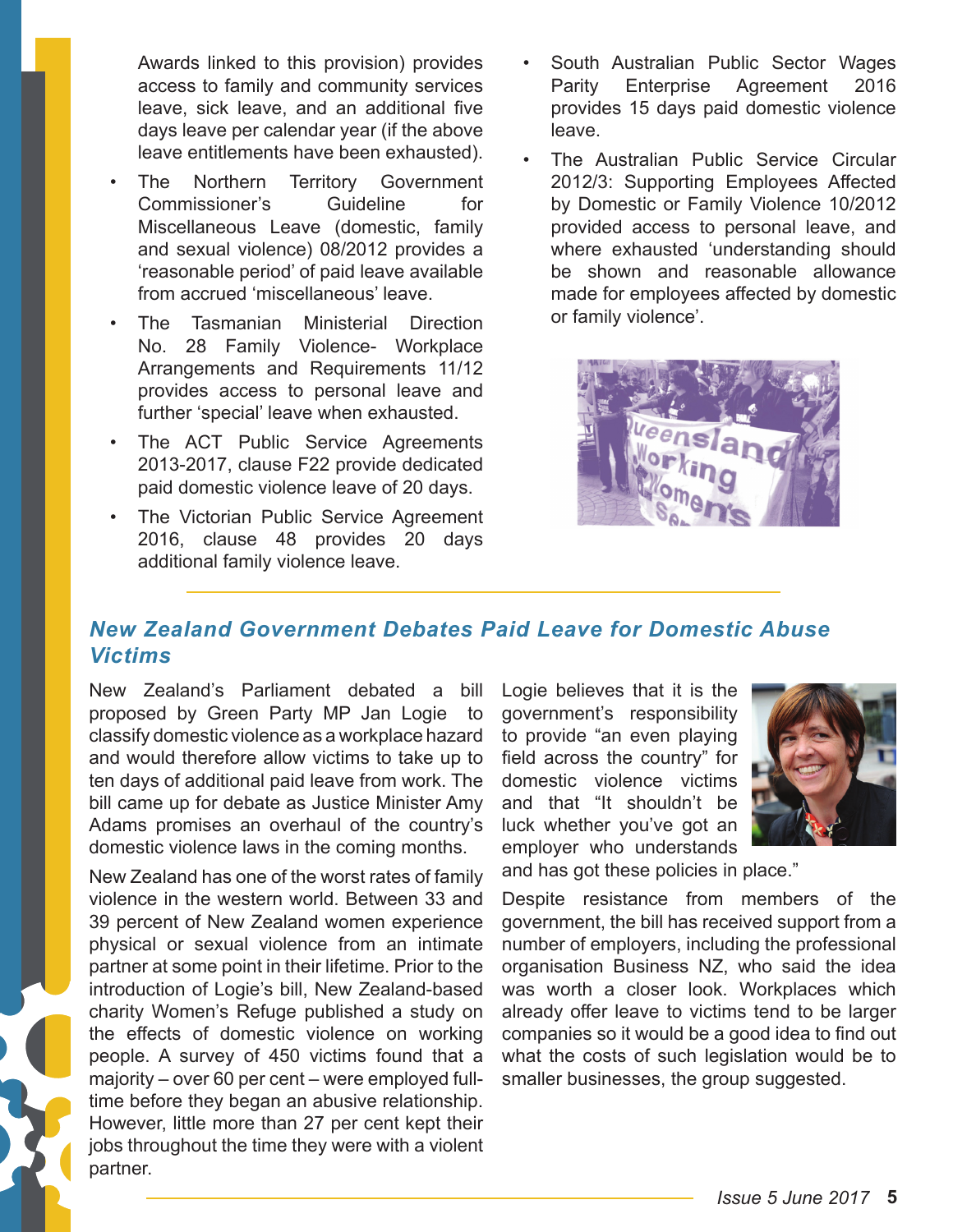Awards linked to this provision) provides access to family and community services leave, sick leave, and an additional five days leave per calendar year (if the above leave entitlements have been exhausted).

- The Northern Territory Government Commissioner's Guideline for Miscellaneous Leave (domestic, family and sexual violence) 08/2012 provides a 'reasonable period' of paid leave available from accrued 'miscellaneous' leave.
- The Tasmanian Ministerial Direction No. 28 Family Violence- Workplace Arrangements and Requirements 11/12 provides access to personal leave and further 'special' leave when exhausted.
- The ACT Public Service Agreements 2013-2017, clause F22 provide dedicated paid domestic violence leave of 20 days.
- The Victorian Public Service Agreement 2016, clause 48 provides 20 days additional family violence leave.
- South Australian Public Sector Wages Parity Enterprise Agreement 2016 provides 15 days paid domestic violence leave.
- The Australian Public Service Circular 2012/3: Supporting Employees Affected by Domestic or Family Violence 10/2012 provided access to personal leave, and where exhausted 'understanding should be shown and reasonable allowance made for employees affected by domestic or family violence'.



# *New Zealand Government Debates Paid Leave for Domestic Abuse Victims*

New Zealand's Parliament debated a bill proposed by Green Party MP Jan Logie to classify domestic violence as a workplace hazard and would therefore allow victims to take up to ten days of additional paid leave from work. The bill came up for debate as Justice Minister Amy Adams promises an overhaul of the country's domestic violence laws in the coming months.

New Zealand has one of the worst rates of family violence in the western world. Between 33 and 39 percent of New Zealand women experience physical or sexual violence from an intimate partner at some point in their lifetime. Prior to the introduction of Logie's bill, New Zealand-based charity Women's Refuge published a study on the effects of domestic violence on working people. A survey of 450 victims found that a majority – over 60 per cent – were employed fulltime before they began an abusive relationship. However, little more than 27 per cent kept their jobs throughout the time they were with a violent partner.

Logie believes that it is the government's responsibility to provide "an even playing field across the country" for domestic violence victims and that "It shouldn't be luck whether you've got an employer who understands



and has got these policies in place."

Despite resistance from members of the government, the bill has received support from a number of employers, including the professional organisation Business NZ, who said the idea was worth a closer look. Workplaces which already offer leave to victims tend to be larger companies so it would be a good idea to find out what the costs of such legislation would be to smaller businesses, the group suggested.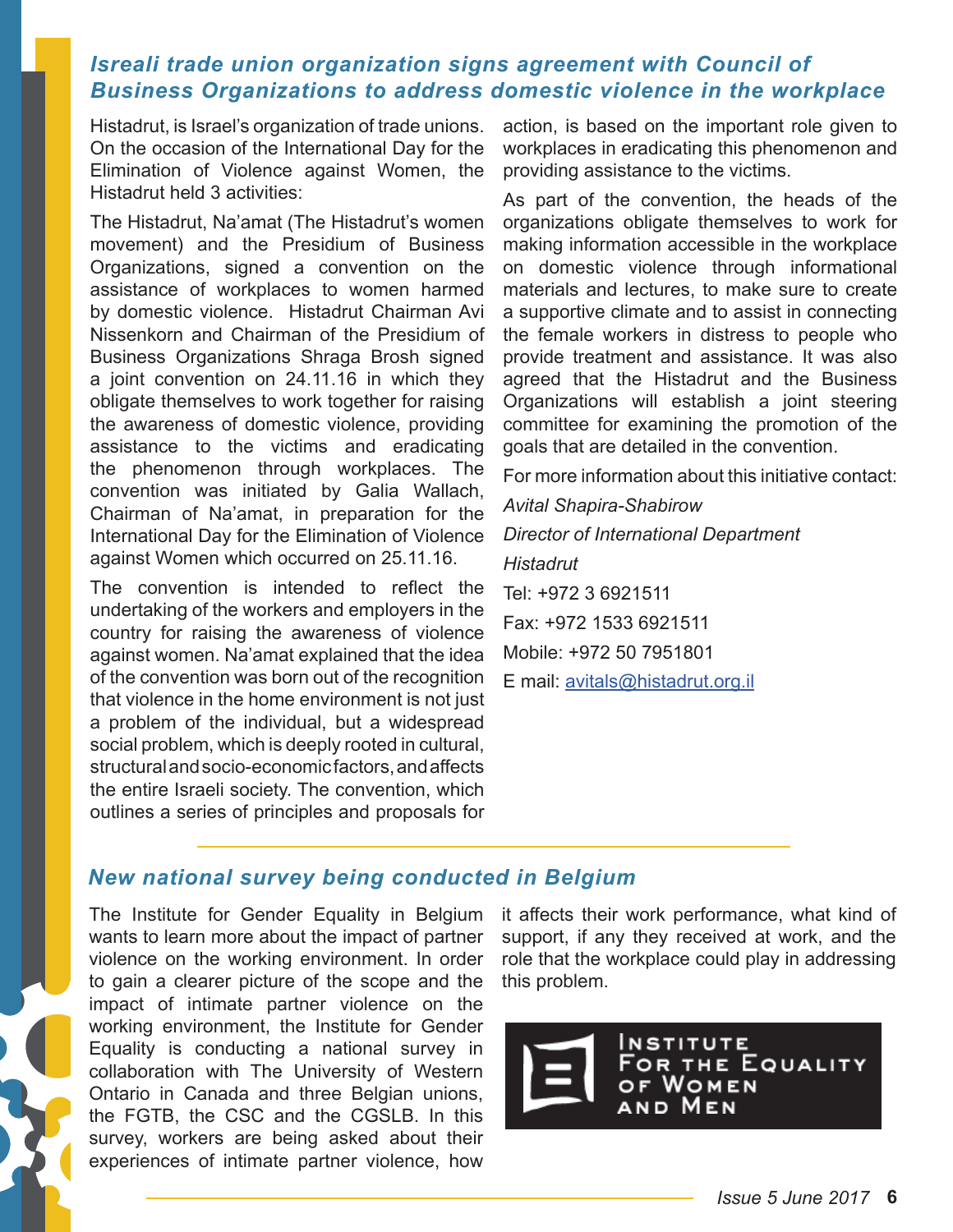## *Isreali trade union organization signs agreement with Council of Business Organizations to address domestic violence in the workplace*

Histadrut, is Israel's organization of trade unions. On the occasion of the International Day for the Elimination of Violence against Women, the Histadrut held 3 activities:

The Histadrut, Na'amat (The Histadrut's women movement) and the Presidium of Business Organizations, signed a convention on the assistance of workplaces to women harmed by domestic violence. Histadrut Chairman Avi Nissenkorn and Chairman of the Presidium of Business Organizations Shraga Brosh signed a joint convention on 24.11.16 in which they obligate themselves to work together for raising the awareness of domestic violence, providing assistance to the victims and eradicating the phenomenon through workplaces. The convention was initiated by Galia Wallach, Chairman of Na'amat, in preparation for the International Day for the Elimination of Violence against Women which occurred on 25.11.16.

The convention is intended to reflect the undertaking of the workers and employers in the country for raising the awareness of violence against women. Na'amat explained that the idea of the convention was born out of the recognition that violence in the home environment is not just a problem of the individual, but a widespread social problem, which is deeply rooted in cultural, structural and socio-economic factors, and affects the entire Israeli society. The convention, which outlines a series of principles and proposals for

action, is based on the important role given to workplaces in eradicating this phenomenon and providing assistance to the victims.

As part of the convention, the heads of the organizations obligate themselves to work for making information accessible in the workplace on domestic violence through informational materials and lectures, to make sure to create a supportive climate and to assist in connecting the female workers in distress to people who provide treatment and assistance. It was also agreed that the Histadrut and the Business Organizations will establish a joint steering committee for examining the promotion of the goals that are detailed in the convention.

For more information about this initiative contact:

*Avital Shapira-Shabirow Director of International Department Histadrut* Tel: +972 3 6921511 Fax: +972 1533 6921511 Mobile: +972 50 7951801 E mail: [avitals@histadrut.org.il](mailto:avitals%40histadrut.org.il?subject=)

### *New national survey being conducted in Belgium*

The Institute for Gender Equality in Belgium wants to learn more about the impact of partner violence on the working environment. In order to gain a clearer picture of the scope and the impact of intimate partner violence on the working environment, the Institute for Gender Equality is conducting a national survey in collaboration with The University of Western Ontario in Canada and three Belgian unions, the FGTB, the CSC and the CGSLB. In this survey, workers are being asked about their experiences of intimate partner violence, how

it affects their work performance, what kind of support, if any they received at work, and the role that the workplace could play in addressing this problem.

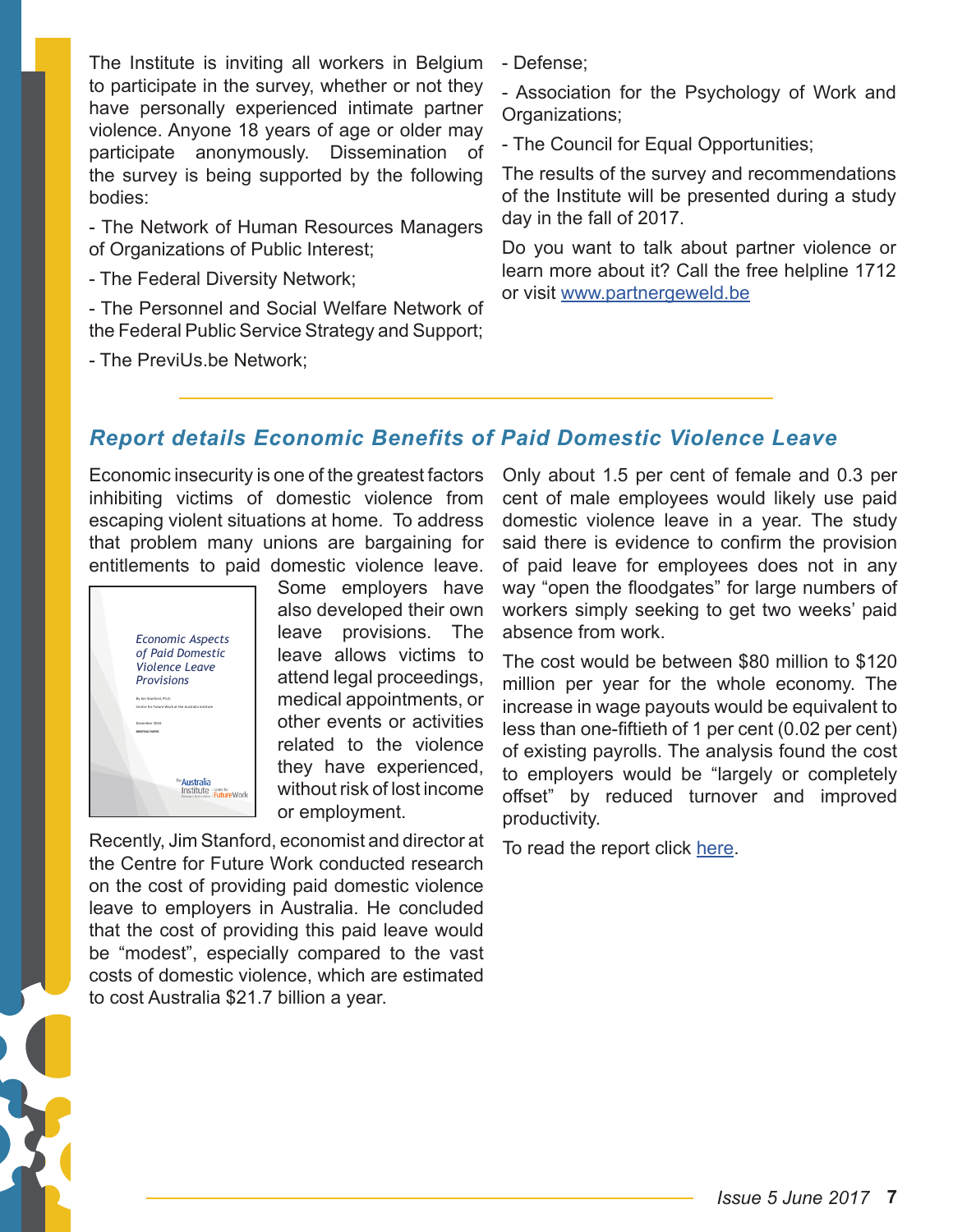The Institute is inviting all workers in Belgium to participate in the survey, whether or not they have personally experienced intimate partner violence. Anyone 18 years of age or older may participate anonymously. Dissemination of the survey is being supported by the following bodies:

- The Network of Human Resources Managers of Organizations of Public Interest;

- The Federal Diversity Network;

- The Personnel and Social Welfare Network of the Federal Public Service Strategy and Support;

- The PreviUs.be Network;

- Defense;

- Association for the Psychology of Work and Organizations;

- The Council for Equal Opportunities;

The results of the survey and recommendations of the Institute will be presented during a study day in the fall of 2017.

Do you want to talk about partner violence or learn more about it? Call the free helpline 1712 or visit <www.partnergeweld.be>

# *Report details Economic Benefits of Paid Domestic Violence Leave*

Economic insecurity is one of the greatest factors inhibiting victims of domestic violence from escaping violent situations at home. To address that problem many unions are bargaining for entitlements to paid domestic violence leave.



Some employers have also developed their own leave provisions. The leave allows victims to attend legal proceedings, medical appointments, or other events or activities related to the violence they have experienced, without risk of lost income or employment.

Recently, Jim Stanford, economist and director at the Centre for Future Work conducted research on the cost of providing paid domestic violence leave to employers in Australia. He concluded that the cost of providing this paid leave would be "modest", especially compared to the vast costs of domestic violence, which are estimated to cost Australia \$21.7 billion a year.

Only about 1.5 per cent of female and 0.3 per cent of male employees would likely use paid domestic violence leave in a year. The study said there is evidence to confirm the provision of paid leave for employees does not in any way "open the floodgates" for large numbers of workers simply seeking to get two weeks' paid absence from work.

The cost would be between \$80 million to \$120 million per year for the whole economy. The increase in wage payouts would be equivalent to less than one-fiftieth of 1 per cent (0.02 per cent) of existing payrolls. The analysis found the cost to employers would be "largely or completely offset" by reduced turnover and improved productivity.

To read the report click [here.](https://d3n8a8pro7vhmx.cloudfront.net/theausinstitute/pages/1408/attachments/original/1482351910/Economic_Aspects_Domestic_Violence_Leave.pdf?1482351910)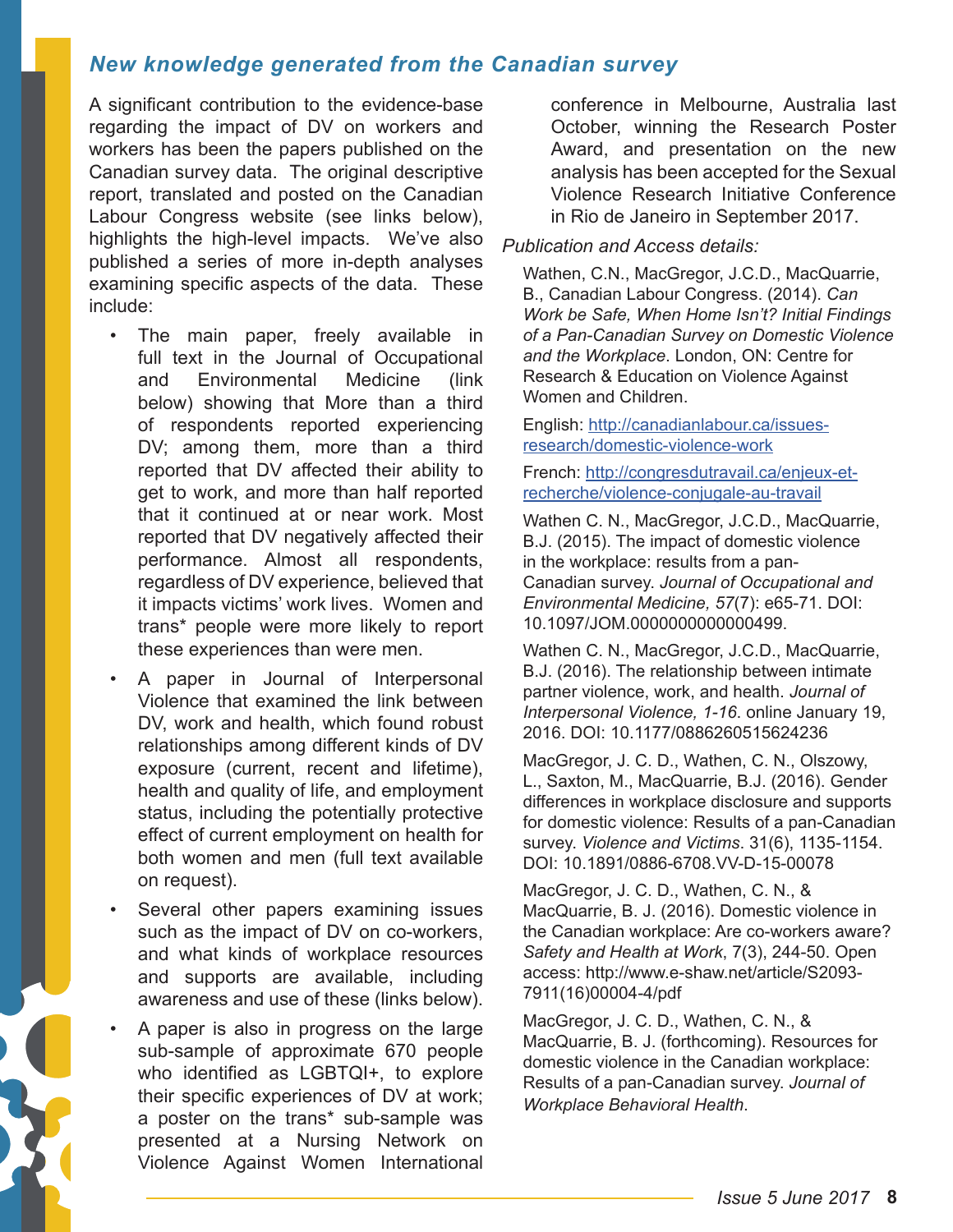## *New knowledge generated from the Canadian survey*

A significant contribution to the evidence-base regarding the impact of DV on workers and workers has been the papers published on the Canadian survey data. The original descriptive report, translated and posted on the Canadian Labour Congress website (see links below), highlights the high-level impacts. We've also published a series of more in-depth analyses examining specific aspects of the data. These include:

- The main paper, freely available in full text in the Journal of Occupational and Environmental Medicine (link below) showing that More than a third of respondents reported experiencing DV; among them, more than a third reported that DV affected their ability to get to work, and more than half reported that it continued at or near work. Most reported that DV negatively affected their performance. Almost all respondents, regardless of DV experience, believed that it impacts victims' work lives. Women and trans\* people were more likely to report these experiences than were men.
- A paper in Journal of Interpersonal Violence that examined the link between DV, work and health, which found robust relationships among different kinds of DV exposure (current, recent and lifetime), health and quality of life, and employment status, including the potentially protective effect of current employment on health for both women and men (full text available on request).
- Several other papers examining issues such as the impact of DV on co-workers, and what kinds of workplace resources and supports are available, including awareness and use of these (links below).
- A paper is also in progress on the large sub-sample of approximate 670 people who identified as LGBTQI+, to explore their specific experiences of DV at work; a poster on the trans\* sub-sample was presented at a Nursing Network on Violence Against Women International

conference in Melbourne, Australia last October, winning the Research Poster Award, and presentation on the new analysis has been accepted for the Sexual Violence Research Initiative Conference in Rio de Janeiro in September 2017.

#### *Publication and Access details:*

Wathen, C.N., MacGregor, J.C.D., MacQuarrie, B., Canadian Labour Congress. (2014). *Can Work be Safe, When Home Isn't? Initial Findings of a Pan-Canadian Survey on Domestic Violence and the Workplace*. London, ON: Centre for Research & Education on Violence Against Women and Children.

English: [http://canadianlabour.ca/issues](http://canadianlabour.ca/issues-research/domestic-violence-work)[research/domestic-violence-work](http://canadianlabour.ca/issues-research/domestic-violence-work)

French: [http://congresdutravail.ca/enjeux-et](http://congresdutravail.ca/enjeux-et-recherche/violence-conjugale-au-travail)[recherche/violence-conjugale-au-travail](http://congresdutravail.ca/enjeux-et-recherche/violence-conjugale-au-travail)

Wathen C. N., MacGregor, J.C.D., MacQuarrie, B.J. (2015). The impact of domestic violence in the workplace: results from a pan-Canadian survey. *Journal of Occupational and Environmental Medicine, 57*(7): e65-71. DOI: 10.1097/JOM.0000000000000499.

Wathen C. N., MacGregor, J.C.D., MacQuarrie, B.J. (2016). The relationship between intimate partner violence, work, and health. *Journal of Interpersonal Violence, 1-16*. online January 19, 2016. DOI: 10.1177/0886260515624236

MacGregor, J. C. D., Wathen, C. N., Olszowy, L., Saxton, M., MacQuarrie, B.J. (2016). Gender differences in workplace disclosure and supports for domestic violence: Results of a pan-Canadian survey. *Violence and Victims*. 31(6), 1135-1154. DOI: 10.1891/0886-6708.VV-D-15-00078

MacGregor, J. C. D., Wathen, C. N., & MacQuarrie, B. J. (2016). Domestic violence in the Canadian workplace: Are co-workers aware? *Safety and Health at Work*, 7(3), 244-50. Open access: http://www.e-shaw.net/article/S2093- 7911(16)00004-4/pdf

MacGregor, J. C. D., Wathen, C. N., & MacQuarrie, B. J. (forthcoming). Resources for domestic violence in the Canadian workplace: Results of a pan-Canadian survey. *Journal of Workplace Behavioral Health*.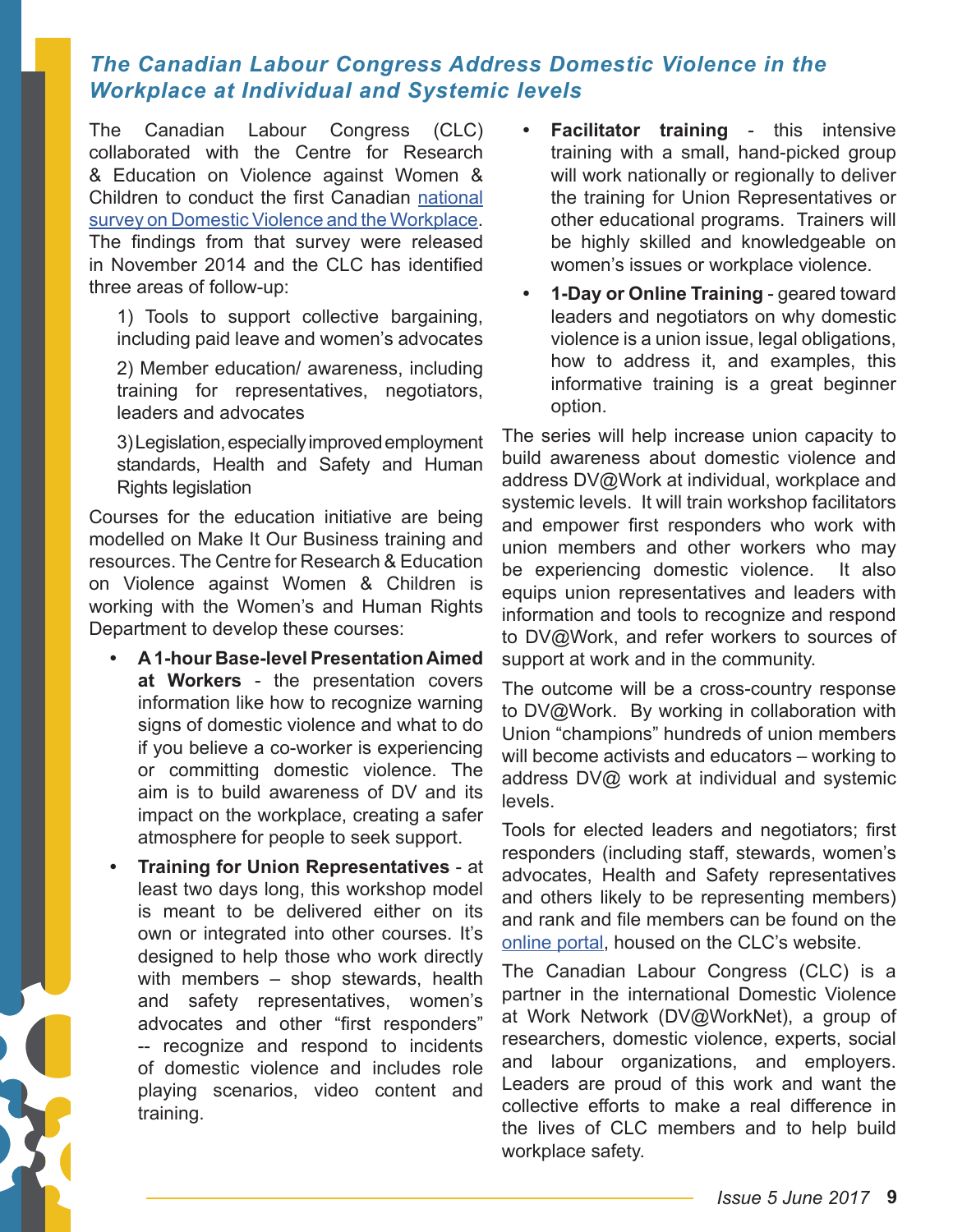## *The Canadian Labour Congress Address Domestic Violence in the Workplace at Individual and Systemic levels*

The Canadian Labour Congress (CLC) collaborated with the Centre for Research & Education on Violence against Women & Children to conduct the first Canadian [national](http://makeitourbusiness.ca/sites/makeitourbusiness.ca/files/DVWork_Survey_Report_2014_EN_0.pdf)  [survey on Domestic Violence and the Workplace](http://makeitourbusiness.ca/sites/makeitourbusiness.ca/files/DVWork_Survey_Report_2014_EN_0.pdf). The findings from that survey were released in November 2014 and the CLC has identified three areas of follow-up:

1) Tools to support collective bargaining, including paid leave and women's advocates

2) Member education/ awareness, including training for representatives, negotiators, leaders and advocates

3) Legislation, especially improved employment standards, Health and Safety and Human Rights legislation

Courses for the education initiative are being modelled on Make It Our Business training and resources. The Centre for Research & Education on Violence against Women & Children is working with the Women's and Human Rights Department to develop these courses:

- **• A 1-hour Base-level Presentation Aimed at Workers** - the presentation covers information like how to recognize warning signs of domestic violence and what to do if you believe a co-worker is experiencing or committing domestic violence. The aim is to build awareness of DV and its impact on the workplace, creating a safer atmosphere for people to seek support.
- **• Training for Union Representatives** at least two days long, this workshop model is meant to be delivered either on its own or integrated into other courses. It's designed to help those who work directly with members – shop stewards, health and safety representatives, women's advocates and other "first responders" -- recognize and respond to incidents of domestic violence and includes role playing scenarios, video content and training.
- **• Facilitator training** this intensive training with a small, hand-picked group will work nationally or regionally to deliver the training for Union Representatives or other educational programs. Trainers will be highly skilled and knowledgeable on women's issues or workplace violence.
- **• 1-Day or Online Training** geared toward leaders and negotiators on why domestic violence is a union issue, legal obligations, how to address it, and examples, this informative training is a great beginner option.

The series will help increase union capacity to build awareness about domestic violence and address DV@Work at individual, workplace and systemic levels. It will train workshop facilitators and empower first responders who work with union members and other workers who may be experiencing domestic violence. It also equips union representatives and leaders with information and tools to recognize and respond to DV@Work, and refer workers to sources of support at work and in the community.

The outcome will be a cross-country response to DV@Work. By working in collaboration with Union "champions" hundreds of union members will become activists and educators – working to address DV@ work at individual and systemic levels.

Tools for elected leaders and negotiators; first responders (including staff, stewards, women's advocates, Health and Safety representatives and others likely to be representing members) and rank and file members can be found on the [online portal,](http://canadianlabour.ca/issues-research/domestic-violence-work) housed on the CLC's website.

The Canadian Labour Congress (CLC) is a partner in the international Domestic Violence at Work Network (DV@WorkNet), a group of researchers, domestic violence, experts, social and labour organizations, and employers. Leaders are proud of this work and want the collective efforts to make a real difference in the lives of CLC members and to help build workplace safety.